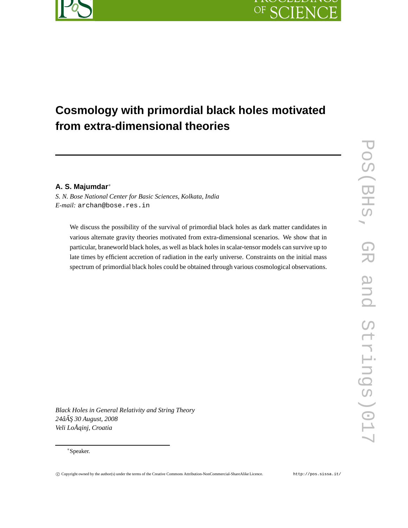

# OF SC  $FY$

# **Cosmology with primordial black holes motivated from extra-dimensional theories**

# **A. S. Majumdar**∗

*S. N. Bose National Center for Basic Sciences, Kolkata, India E-mail:* archan@bose.res.in

We discuss the possibility of the survival of primordial black holes as dark matter candidates in various alternate gravity theories motivated from extra-dimensional scenarios. We show that in particular, braneworld black holes, as well as black holes in scalar-tensor models can survive up to late times by efficient accretion of radiation in the early universe. Constraints on the initial mass spectrum of primordial black holes could be obtained through various cosmological observations.

*Black Holes in General Relativity and String Theory 24âA¸S 30 August, 2008 ˘ Veli LoÅ ˛ainj, Croatia*

<sup>∗</sup>Speaker.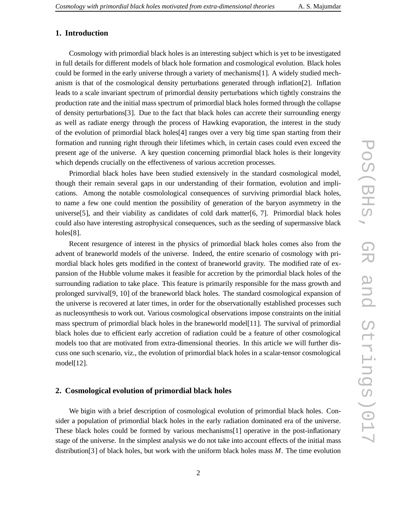# **1. Introduction**

Cosmology with primordial black holes is an interesting subject which is yet to be investigated in full details for different models of black hole formation and cosmological evolution. Black holes could be formed in the early universe through a variety of mechanisms[1]. A widely studied mechanism is that of the cosmological density perturbations generated through inflation[2]. Inflation leads to a scale invariant spectrum of primordial density perturbations which tightly constrains the production rate and the initial mass spectrum of primordial black holes formed through the collapse of density perturbations[3]. Due to the fact that black holes can accrete their surrounding energy as well as radiate energy through the process of Hawking evaporation, the interest in the study of the evolution of primordial black holes[4] ranges over a very big time span starting from their formation and running right through their lifetimes which, in certain cases could even exceed the present age of the universe. A key question concerning primordial black holes is their longevity which depends crucially on the effectiveness of various accretion processes.

Primordial black holes have been studied extensively in the standard cosmological model, though their remain several gaps in our understanding of their formation, evolution and implications. Among the notable cosmolological consequences of surviving primordial black holes, to name a few one could mention the possibility of generation of the baryon asymmetry in the universe[5], and their viability as candidates of cold dark matter[6, 7]. Primordial black holes could also have interesting astrophysical consequences, such as the seeding of supermassive black holes[8].

Recent resurgence of interest in the physics of primordial black holes comes also from the advent of braneworld models of the universe. Indeed, the entire scenario of cosmology with primordial black holes gets modified in the context of braneworld gravity. The modified rate of expansion of the Hubble volume makes it feasible for accretion by the primordial black holes of the surrounding radiation to take place. This feature is primarily responsible for the mass growth and prolonged survival[9, 10] of the braneworld black holes. The standard cosmological expansion of the universe is recovered at later times, in order for the observationally established processes such as nucleosynthesis to work out. Various cosmological observations impose constraints on the initial mass spectrum of primordial black holes in the braneworld model[11]. The survival of primordial black holes due to efficient early accretion of radiation could be a feature of other cosmological models too that are motivated from extra-dimensional theories. In this article we will further discuss one such scenario, viz., the evolution of primordial black holes in a scalar-tensor cosmological model[12].

#### **2. Cosmological evolution of primordial black holes**

We bigin with a brief description of cosmological evolution of primordial black holes. Consider a population of primordial black holes in the early radiation dominated era of the universe. These black holes could be formed by various mechanisms[1] operative in the post-inflationary stage of the universe. In the simplest analysis we do not take into account effects of the initial mass distribution[3] of black holes, but work with the uniform black holes mass *M*. The time evolution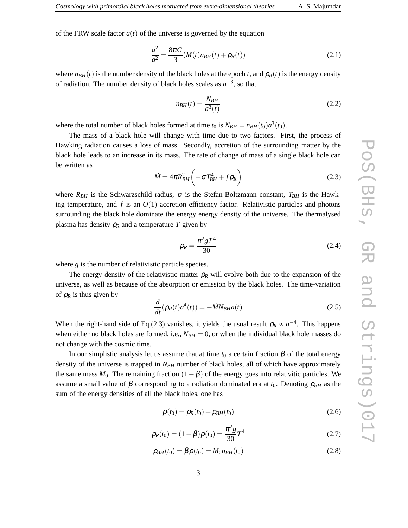of the FRW scale factor  $a(t)$  of the universe is governed by the equation

$$
\frac{\dot{a}^2}{a^2} = \frac{8\pi G}{3} (M(t)n_{BH}(t) + \rho_R(t))
$$
\n(2.1)

where  $n_{BH}(t)$  is the number density of the black holes at the epoch *t*, and  $\rho_R(t)$  is the energy density of radiation. The number density of black holes scales as  $a^{-3}$ , so that

$$
n_{BH}(t) = \frac{N_{BH}}{a^3(t)}\tag{2.2}
$$

where the total number of black holes formed at time  $t_0$  is  $N_{BH} = n_{BH}(t_0)a^3(t_0)$ .

The mass of a black hole will change with time due to two factors. First, the process of Hawking radiation causes a loss of mass. Secondly, accretion of the surrounding matter by the black hole leads to an increase in its mass. The rate of change of mass of a single black hole can be written as

$$
\dot{M} = 4\pi R_{BH}^2 \left( -\sigma T_{BH}^4 + f \rho_R \right) \tag{2.3}
$$

where  $R_{BH}$  is the Schwarzschild radius,  $\sigma$  is the Stefan-Boltzmann constant,  $T_{BH}$  is the Hawking temperature, and  $f$  is an  $O(1)$  accretion efficiency factor. Relativistic particles and photons surrounding the black hole dominate the energy energy density of the universe. The thermalysed plasma has density  $\rho_R$  and a temperature *T* given by

$$
\rho_R = \frac{\pi^2 g T^4}{30} \tag{2.4}
$$

where *g* is the number of relativistic particle species.

The energy density of the relativistic matter  $\rho_R$  will evolve both due to the expansion of the universe, as well as because of the absorption or emission by the black holes. The time-variation of  $\rho_R$  is thus given by

$$
\frac{d}{dt}(\rho_R(t)a^4(t)) = -\dot{M}N_{BH}a(t)
$$
\n(2.5)

When the right-hand side of Eq.(2.3) vanishes, it yields the usual result  $\rho_R \propto a^{-4}$ . This happens when either no black holes are formed, i.e.,  $N_{BH} = 0$ , or when the individual black hole masses do not change with the cosmic time.

In our simplistic analysis let us assume that at time  $t_0$  a certain fraction β of the total energy density of the universe is trapped in *NBH* number of black holes, all of which have approximately the same mass  $M_0$ . The remaining fraction  $(1-\beta)$  of the energy goes into relativitic particles. We assume a small value of  $\beta$  corresponding to a radiation dominated era at  $t_0$ . Denoting  $\rho_{BH}$  as the sum of the energy densities of all the black holes, one has

$$
\rho(t_0) = \rho_R(t_0) + \rho_{BH}(t_0)
$$
\n(2.6)

$$
\rho_R(t_0) = (1 - \beta)\rho(t_0) = \frac{\pi^2 g}{30} T^4 \tag{2.7}
$$

$$
\rho_{BH}(t_0) = \beta \rho(t_0) = M_0 n_{BH}(t_0)
$$
\n(2.8)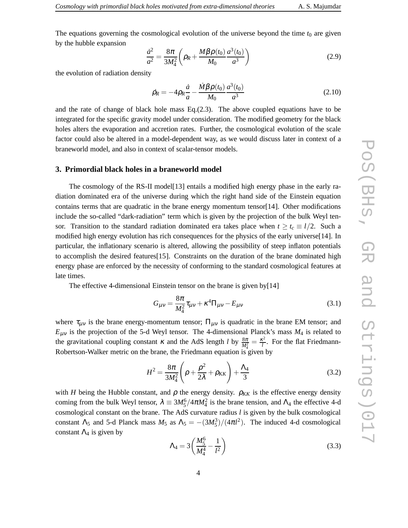The equations governing the cosmological evolution of the universe beyond the time  $t_0$  are given by the hubble expansion

$$
\frac{\dot{a}^2}{a^2} = \frac{8\pi}{3M_4^2} \left( \rho_R + \frac{M\beta \rho(t_0)}{M_0} \frac{a^3(t_0)}{a^3} \right)
$$
(2.9)

the evolution of radiation density

$$
\rho_R = -4\rho_R \frac{\dot{a}}{a} - \frac{\dot{M}\beta \rho(t_0)}{M_0} \frac{a^3(t_0)}{a^3}
$$
\n(2.10)

and the rate of change of black hole mass Eq.(2.3). The above coupled equations have to be integrated for the specific gravity model under consideration. The modified geometry for the black holes alters the evaporation and accretion rates. Further, the cosmological evolution of the scale factor could also be altered in a model-dependent way, as we would discuss later in context of a braneworld model, and also in context of scalar-tensor models.

#### **3. Primordial black holes in a braneworld model**

The cosmology of the RS-II model[13] entails a modified high energy phase in the early radiation dominated era of the universe during which the right hand side of the Einstein equation contains terms that are quadratic in the brane energy momentum tensor $[14]$ . Other modifications include the so-called "dark-radiation" term which is given by the projection of the bulk Weyl tensor. Transition to the standard radiation dominated era takes place when  $t \geq t_c \equiv l/2$ . Such a modified high energy evolution has rich consequences for the physics of the early universe[14]. In particular, the inflationary scenario is altered, allowing the possibility of steep inflaton potentials to accomplish the desired features[15]. Constraints on the duration of the brane dominated high energy phase are enforced by the necessity of conforming to the standard cosmological features at late times.

The effective 4-dimensional Einstein tensor on the brane is given by[14]

$$
G_{\mu\nu} = \frac{8\pi}{M_4^2} \tau_{\mu\nu} + \kappa^4 \Pi_{\mu\nu} - E_{\mu\nu}
$$
 (3.1)

where  $\tau_{\mu\nu}$  is the brane energy-momentum tensor;  $\Pi_{\mu\nu}$  is quadratic in the brane EM tensor; and  $E_{\mu\nu}$  is the projection of the 5-d Weyl tensor. The 4-dimensional Planck's mass  $M_4$  is related to the gravitational coupling constant  $\kappa$  and the AdS length *l* by  $\frac{8\pi}{M_4^2} = \frac{\kappa^2}{l}$ Robertson-Walker metric on the brane, the Friedmann equation is given by  $\frac{f^2}{l}$ . For the flat Friedmann-

$$
H^{2} = \frac{8\pi}{3M_{4}^{2}} \left(\rho + \frac{\rho^{2}}{2\lambda} + \rho_{KK}\right) + \frac{\Lambda_{4}}{3}
$$
 (3.2)

with *H* being the Hubble constant, and  $\rho$  the energy density.  $\rho_{KK}$  is the effective energy density coming from the bulk Weyl tensor,  $\lambda = 3M_5^6/4\pi M_4^2$  is the brane tension, and  $\Lambda_4$  the effective 4-d cosmological constant on the brane. The AdS curvature radius *l* is given by the bulk cosmological constant  $\Lambda_5$  and 5-d Planck mass  $M_5$  as  $\Lambda_5 = -(3M_5^3)/(4\pi l^2)$ . The induced 4-d cosmological constant  $\Lambda_4$  is given by

$$
\Lambda_4 = 3\left(\frac{M_5^6}{M_4^4} - \frac{1}{l^2}\right) \tag{3.3}
$$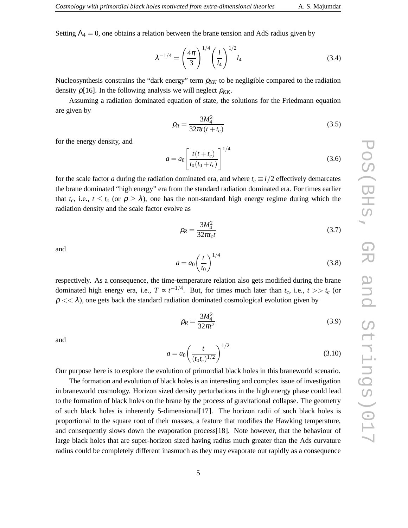Setting  $\Lambda_4 = 0$ , one obtains a relation between the brane tension and AdS radius given by

$$
\lambda^{-1/4} = \left(\frac{4\pi}{3}\right)^{1/4} \left(\frac{l}{l_4}\right)^{1/2} l_4 \tag{3.4}
$$

Nucleosynthesis constrains the "dark energy" term  $\rho_{KK}$  to be negligible compared to the radiation density  $\rho$ [16]. In the following analysis we will neglect  $\rho_{KK}$ .

Assuming a radiation dominated equation of state, the solutions for the Friedmann equation are given by

$$
\rho_R = \frac{3M_4^2}{32\pi t (t + t_c)}
$$
\n(3.5)

for the energy density, and

$$
a = a_0 \left[ \frac{t(t + t_c)}{t_0(t_0 + t_c)} \right]^{1/4}
$$
\n(3.6)

for the scale factor *a* during the radiation dominated era, and where  $t_c \equiv l/2$  effectively demarcates the brane dominated "high energy" era from the standard radiation dominated era. For times earlier that  $t_c$ , i.e.,  $t \leq t_c$  (or  $\rho \geq \lambda$ ), one has the non-standard high energy regime during which the radiation density and the scale factor evolve as

$$
\rho_R = \frac{3M_4^2}{32\pi t_c t}
$$
\n(3.7)

and

$$
a = a_0 \left(\frac{t}{t_0}\right)^{1/4} \tag{3.8}
$$

respectively. As a consequence, the time-temperature relation also gets modified during the brane dominated high energy era, i.e.,  $T \propto t^{-1/4}$ . But, for times much later than  $t_c$ , i.e.,  $t >> t_c$  (or  $\rho \ll \lambda$ ), one gets back the standard radiation dominated cosmological evolution given by

$$
\rho_R = \frac{3M_4^2}{32\pi t^2} \tag{3.9}
$$

and

$$
a = a_0 \left(\frac{t}{(t_0 t_c)^{1/2}}\right)^{1/2} \tag{3.10}
$$

Our purpose here is to explore the evolution of primordial black holes in this braneworld scenario.

The formation and evolution of black holes is an interesting and complex issue of investigation in braneworld cosmology. Horizon sized density perturbations in the high energy phase could lead to the formation of black holes on the brane by the process of gravitational collapse. The geometry of such black holes is inherently 5-dimensional[17]. The horizon radii of such black holes is proportional to the square root of their masses, a feature that modifies the Hawking temperature, and consequently slows down the evaporation process[18]. Note however, that the behaviour of large black holes that are super-horizon sized having radius much greater than the Ads curvature radius could be completely different inasmuch as they may evaporate out rapidly as a consequence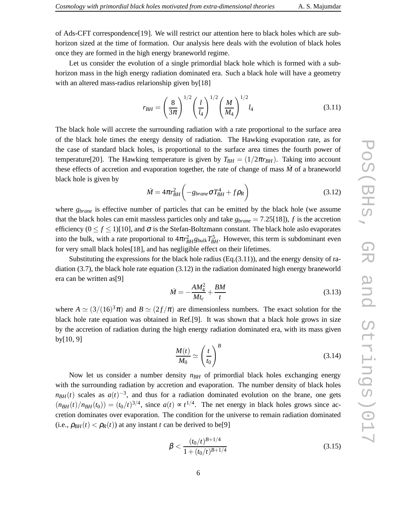of Ads-CFT correspondence[19]. We will restrict our attention here to black holes which are subhorizon sized at the time of formation. Our analysis here deals with the evolution of black holes once they are formed in the high energy braneworld regime.

Let us consider the evolution of a single primordial black hole which is formed with a subhorizon mass in the high energy radiation dominated era. Such a black hole will have a geometry with an altered mass-radius relarionship given by[18]

$$
r_{BH} = \left(\frac{8}{3\pi}\right)^{1/2} \left(\frac{l}{l_4}\right)^{1/2} \left(\frac{M}{M_4}\right)^{1/2} l_4
$$
 (3.11)

The black hole will accrete the surrounding radiation with a rate proportional to the surface area of the black hole times the energy density of radiation. The Hawking evaporation rate, as for the case of standard black holes, is proportional to the surface area times the fourth power of temperature[20]. The Hawking temperature is given by  $T_{BH} = (1/2\pi r_{BH})$ . Taking into account these effects of accretion and evaporation together, the rate of change of mass *M*˙ of a braneworld black hole is given by

$$
\dot{M} = 4\pi r_{BH}^2 \left( -g_{brane} \sigma T_{BH}^4 + f \rho_R \right) \tag{3.12}
$$

where *gbrane* is effective number of particles that can be emitted by the black hole (we assume that the black holes can emit massless particles only and take  $g_{brane} = 7.25[18]$ , *f* is the accretion efficiency  $(0 \le f \le 1)$ [10], and  $\sigma$  is the Stefan-Boltzmann constant. The black hole aslo evaporates into the bulk, with a rate proportional to  $4\pi r_{BH}^2 g_{bulk} T_{BH}^5$ . However, this term is subdominant even for very small black holes[18], and has negligible effect on their lifetimes.

Substituting the expressions for the black hole radius  $(Eq.(3.11))$ , and the energy density of radiation (3.7), the black hole rate equation (3.12) in the radiation dominated high energy braneworld era can be written as[9]

$$
\dot{M} = -\frac{AM_4^2}{Mt_c} + \frac{BM}{t}
$$
\n(3.13)

where  $A \simeq (3/(16)^3 \pi)$  and  $B \simeq (2f/\pi)$  are dimensionless numbers. The exact solution for the black hole rate equation was obtained in Ref.[9]. It was shown that a black hole grows in size by the accretion of radiation during the high energy radiation dominated era, with its mass given by[10, 9]

$$
\frac{M(t)}{M_0} \simeq \left(\frac{t}{t_0}\right)^B \tag{3.14}
$$

Now let us consider a number density  $n_{BH}$  of primordial black holes exchanging energy with the surrounding radiation by accretion and evaporation. The number density of black holes  $n_{BH}(t)$  scales as  $a(t)^{-3}$ , and thus for a radiation dominated evolution on the brane, one gets  $(n_{BH}(t)/n_{BH}(t_0)) = (t_0/t)^{3/4}$ , since  $a(t) \propto t^{1/4}$ . The net energy in black holes grows since accretion dominates over evaporation. The condition for the universe to remain radiation dominated (i.e.,  $\rho_{BH}(t) < \rho_R(t)$ ) at any instant *t* can be derived to be[9]

$$
\beta < \frac{(t_0/t)^{B+1/4}}{1 + (t_0/t)^{B+1/4}}\tag{3.15}
$$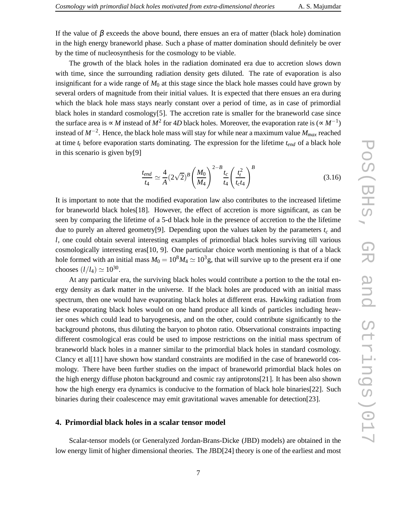by the time of nucleosynthesis for the cosmology to be viable.

The growth of the black holes in the radiation dominated era due to accretion slows down with time, since the surrounding radiation density gets diluted. The rate of evaporation is also insignificant for a wide range of  $M_0$  at this stage since the black hole masses could have grown by several orders of magnitude from their initial values. It is expected that there ensues an era during which the black hole mass stays nearly constant over a period of time, as in case of primordial black holes in standard cosmology[5]. The accretion rate is smaller for the braneworld case since the surface area is  $\propto M$  instead of  $M^2$  for 4*D* black holes. Moreover, the evaporation rate is ( $\propto M^{-1}$ ) instead of *M*−<sup>2</sup> . Hence, the black hole mass will stay for while near a maximum value *Mmax* reached at time *t<sup>t</sup>* before evaporation starts dominating. The expression for the lifetime *tend* of a black hole in this scenario is given by[9]

$$
\frac{t_{end}}{t_4} \simeq \frac{4}{A} (2\sqrt{2})^B \left(\frac{M_0}{M_4}\right)^{2-B} \frac{t_c}{t_4} \left(\frac{t_t^2}{t_c t_4}\right)^B
$$
\n(3.16)

It is important to note that the modified evaporation law also contributes to the increased lifetime for braneworld black holes[18]. However, the effect of accretion is more significant, as can be seen by comparing the lifetime of a 5-d black hole in the presence of accretion to the the lifetime due to purely an altered geometry[9]. Depending upon the values taken by the parameters  $t_c$  and *l*, one could obtain several interesting examples of primordial black holes surviving till various cosmologically interesting eras[10, 9]. One particular choice worth mentioning is that of a black hole formed with an initial mass  $M_0 = 10^8 M_4 \simeq 10^3 g$ , that will survive up to the present era if one chooses  $(l/l_4) \simeq 10^{30}$ .

At any particular era, the surviving black holes would contribute a portion to the the total energy density as dark matter in the universe. If the black holes are produced with an initial mass spectrum, then one would have evaporating black holes at different eras. Hawking radiation from these evaporating black holes would on one hand produce all kinds of particles including heavier ones which could lead to baryogenesis, and on the other, could contribute significantly to the background photons, thus diluting the baryon to photon ratio. Observational constraints impacting different cosmological eras could be used to impose restrictions on the initial mass spectrum of braneworld black holes in a manner similar to the primordial black holes in standard cosmology. Clancy et al[11] have shown how standard constraints are modified in the case of braneworld cosmology. There have been further studies on the impact of braneworld primordial black holes on the high energy diffuse photon background and cosmic ray antiprotons[21]. It has been also shown how the high energy era dynamics is conducive to the formation of black hole binaries[22]. Such binaries during their coalescence may emit gravitational waves amenable for detection[23].

### **4. Primordial black holes in a scalar tensor model**

Scalar-tensor models (or Generalyzed Jordan-Brans-Dicke (JBD) models) are obtained in the low energy limit of higher dimensional theories. The JBD[24] theory is one of the earliest and most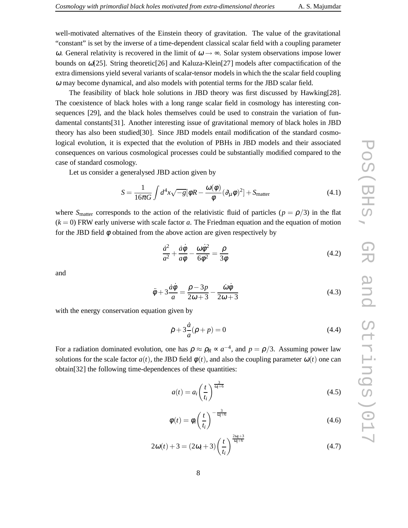well-motivated alternatives of the Einstein theory of gravitation. The value of the gravitational "constant" is set by the inverse of a time-dependent classical scalar field with a coupling parameter ω. General relativity is recovered in the limit of  $ω → ∞$ . Solar system observations impose lower bounds on <sup>ω</sup>[25]. String theoretic[26] and Kaluza-Klein[27] models after compactification of the extra dimensions yield several variants of scalar-tensor models in which the the scalar field coupling <sup>ω</sup> may become dynamical, and also models with potential terms for the JBD scalar field.

The feasibility of black hole solutions in JBD theory was first discussed by Hawking[28]. The coexistence of black holes with a long range scalar field in cosmology has interesting consequences [29], and the black holes themselves could be used to constrain the variation of fundamental constants[31]. Another interesting issue of gravitational memory of black holes in JBD theory has also been studied[30]. Since JBD models entail modification of the standard cosmological evolution, it is expected that the evolution of PBHs in JBD models and their associated consequences on various cosmological processes could be substantially modified compared to the case of standard cosmology.

Let us consider a generalysed JBD action given by

$$
S = \frac{1}{16\pi G} \int d^4x \sqrt{-g} [\phi R - \frac{\omega(\phi)}{\phi} (\partial_\mu \phi)^2] + S_{\text{matter}} \tag{4.1}
$$

where  $S_{\text{matter}}$  corresponds to the action of the relativistic fluid of particles ( $p = \rho/3$ ) in the flat  $(k = 0)$  FRW early universe with scale factor *a*. The Friedman equation and the equation of motion for the JBD field  $\phi$  obtained from the above action are given respectively by

$$
\frac{\dot{a}^2}{a^2} + \frac{\dot{a}\dot{\phi}}{a\phi} - \frac{\omega\dot{\phi}^2}{6\phi^2} = \frac{\rho}{3\phi}
$$
\n(4.2)

and

$$
\ddot{\phi} + 3\frac{\dot{a}\dot{\phi}}{a} = \frac{\rho - 3p}{2\omega + 3} - \frac{\dot{\omega}\dot{\phi}}{2\omega + 3}
$$
(4.3)

with the energy conservation equation given by

$$
\dot{\rho} + 3\frac{\dot{a}}{a}(\rho + p) = 0 \tag{4.4}
$$

For a radiation dominated evolution, one has  $\rho \approx \rho_R \propto a^{-4}$ , and  $p = \rho/3$ . Assuming power law solutions for the scale factor  $a(t)$ , the JBD field  $\phi(t)$ , and also the coupling parameter  $\omega(t)$  one can obtain[32] the following time-dependences of these quantities:

$$
a(t) = a_i \left(\frac{t}{t_i}\right)^{\frac{3}{\omega_i + 6}}
$$
\n
$$
(4.5)
$$

$$
\phi(t) = \phi_i \left(\frac{t}{t_i}\right)^{-\frac{3}{\omega_i + 6}} \tag{4.6}
$$

$$
2\omega(t) + 3 = (2\omega_i + 3) \left(\frac{t}{t_i}\right)^{\frac{2\omega_i + 3}{\omega_i + 6}}
$$
(4.7)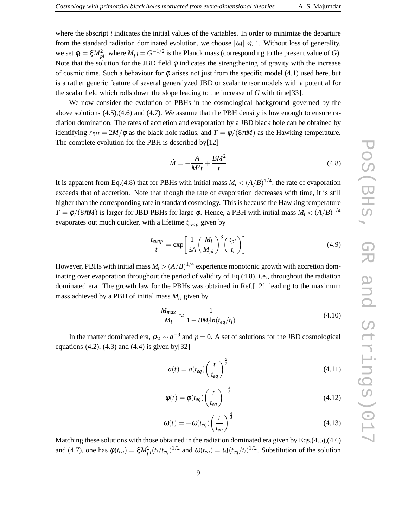where the sbscript *i* indicates the initial values of the variables. In order to minimize the departure from the standard radiation dominated evolution, we choose  $|\omega_i| \ll 1$ . Without loss of generality, we set  $\phi_i = \xi M_{pl}^2$ , where  $M_{pl} = G^{-1/2}$  is the Planck mass (corresponding to the present value of *G*). Note that the solution for the JBD field  $\phi$  indicates the strengthening of gravity with the increase of cosmic time. Such a behaviour for  $\phi$  arises not just from the specific model (4.1) used here, but is a rather generic feature of several generalyzed JBD or scalar tensor models with a potential for the scalar field which rolls down the slope leading to the increase of *G* with time[33].

We now consider the evolution of PBHs in the cosmological background governed by the above solutions (4.5),(4.6) and (4.7). We assume that the PBH density is low enough to ensure radiation domination. The rates of accretion and evaporation by a JBD black hole can be obtained by identifying  $r_{BH} = 2M/\phi$  as the black hole radius, and  $T = \phi/(8\pi M)$  as the Hawking temperature. The complete evolution for the PBH is described by[12]

$$
\dot{M} = -\frac{A}{M^2t} + \frac{BM^2}{t} \tag{4.8}
$$

It is apparent from Eq.(4.8) that for PBHs with initial mass  $M_i < (A/B)^{1/4}$ , the rate of evaporation exceeds that of accretion. Note that though the rate of evaporation decreases with time, it is still higher than the corresponding rate in standard cosmology. This is because the Hawking temperature  $T = \phi/(8\pi M)$  is larger for JBD PBHs for large  $\phi$ . Hence, a PBH with initial mass  $M_i < (A/B)^{1/4}$ evaporates out much quicker, with a lifetime *tevap* given by

$$
\frac{t_{evap}}{t_i} = \exp\left[\frac{1}{3A}\left(\frac{M_i}{M_{pl}}\right)^3 \left(\frac{t_{pl}}{t_i}\right)\right]
$$
(4.9)

However, PBHs with initial mass  $M_i > (A/B)^{1/4}$  experience monotonic growth with accretion dominating over evaporation throughout the period of validity of Eq.(4.8), i.e., throughout the radiation dominated era. The growth law for the PBHs was obtained in Ref.[12], leading to the maximum mass achieved by a PBH of initial mass *M<sup>i</sup>* , given by

$$
\frac{M_{max}}{M_i} \approx \frac{1}{1 - BM_i \ln(t_{eq}/t_i)}
$$
(4.10)

In the matter dominated era,  $\rho_M \sim a^{-3}$  and  $p = 0$ . A set of solutions for the JBD cosmological equations  $(4.2)$ ,  $(4.3)$  and  $(4.4)$  is given by  $[32]$ 

$$
a(t) = a(t_{eq}) \left(\frac{t}{t_{eq}}\right)^{\frac{2}{3}}
$$
\n
$$
(4.11)
$$

$$
\phi(t) = \phi(t_{eq}) \left(\frac{t}{t_{eq}}\right)^{-\frac{4}{3}} \tag{4.12}
$$

$$
\omega(t) = -\omega(t_{eq}) \left(\frac{t}{t_{eq}}\right)^{\frac{4}{3}} \tag{4.13}
$$

Matching these solutions with those obtained in the radiation dominated era given by Eqs.(4.5),(4.6) and (4.7), one has  $\phi(t_{eq}) = \xi M_{pl}^2 (t_i/t_{eq})^{1/2}$  and  $\omega(t_{eq}) = \omega_i (t_{eq}/t_i)^{1/2}$ . Substitution of the solution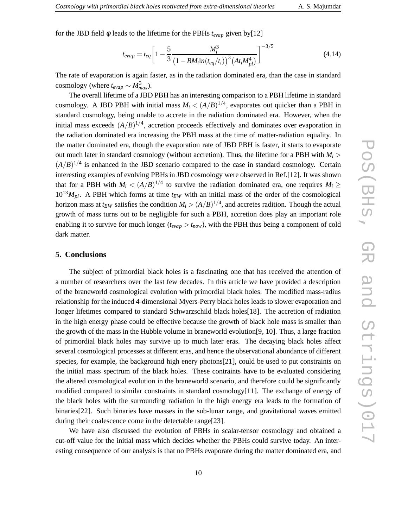for the JBD field φ leads to the lifetime for the PBHs *tevap* given by[12]

$$
t_{evap} = t_{eq} \left[ 1 - \frac{5}{3} \frac{M_i^3}{\left( 1 - BM_i \ln(t_{eq}/t_i) \right)^3 \left( At_i M_{pl}^4 \right)} \right]^{-3/5}
$$
(4.14)

The rate of evaporation is again faster, as in the radiation dominated era, than the case in standard  $\cos$ mology (where  $t_{evap} \sim M_{max}^3$ ).

The overall lifetime of a JBD PBH has an interesting comparison to a PBH lifetime in standard cosmology. A JBD PBH with initial mass  $M_i < (A/B)^{1/4}$ , evaporates out quicker than a PBH in standard cosmology, being unable to accrete in the radiation dominated era. However, when the initial mass exceeds  $(A/B)^{1/4}$ , accretion proceeds effectively and dominates over evaporation in the radiation dominated era increasing the PBH mass at the time of matter-radiation equality. In the matter dominated era, though the evaporation rate of JBD PBH is faster, it starts to evaporate out much later in standard cosmology (without accretion). Thus, the lifetime for a PBH with  $M_i$  $(A/B)^{1/4}$  is enhanced in the JBD scenario compared to the case in standard cosmology. Certain interesting examples of evolving PBHs in JBD cosmology were observed in Ref.[12]. It was shown that for a PBH with  $M_i < (A/B)^{1/4}$  to survive the radiation dominated era, one requires  $M_i \geq$  $10^{13}M_{pl}$ . A PBH which forms at time  $t_{EW}$  with an initial mass of the order of the cosmological horizon mass at  $t_{EW}$  satisfies the condition  $M_i > (A/B)^{1/4}$ , and accretes radition. Though the actual growth of mass turns out to be negligible for such a PBH, accretion does play an important role enabling it to survive for much longer ( $t_{evap} > t_{now}$ ), with the PBH thus being a component of cold dark matter.

#### **5. Conclusions**

The subject of primordial black holes is a fascinating one that has received the attention of a number of researchers over the last few decades. In this article we have provided a description of the braneworld cosmological evolution with primordial black holes. The modified mass-radius relationship for the induced 4-dimensional Myers-Perry black holes leads to slower evaporation and longer lifetimes compared to standard Schwarzschild black holes[18]. The accretion of radiation in the high energy phase could be effective because the growth of black hole mass is smaller than the growth of the mass in the Hubble volume in braneworld evolution[9, 10]. Thus, a large fraction of primordial black holes may survive up to much later eras. The decaying black holes affect several cosmological processes at different eras, and hence the observational abundance of different species, for example, the background high enery photons[21], could be used to put constraints on the initial mass spectrum of the black holes. These contraints have to be evaluated considering the altered cosmological evolution in the braneworld scenario, and therefore could be significantly modified compared to similar constraints in standard cosmology[11]. The exchange of energy of the black holes with the surrounding radiation in the high energy era leads to the formation of binaries[22]. Such binaries have masses in the sub-lunar range, and gravitational waves emitted during their coalescence come in the detectable range[23].

We have also discussed the evolution of PBHs in scalar-tensor cosmology and obtained a cut-off value for the initial mass which decides whether the PBHs could survive today. An interesting consequence of our analysis is that no PBHs evaporate during the matter dominated era, and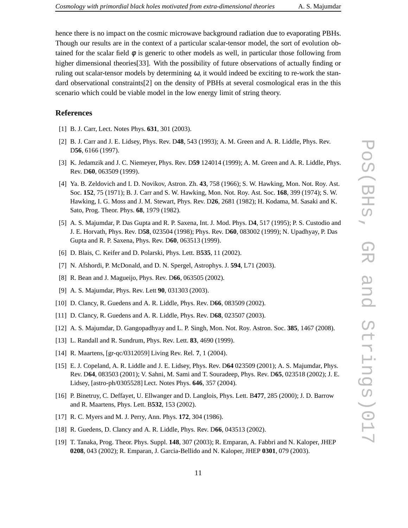scenario which could be viable model in the low energy limit of string theory.

#### **References**

- [1] B. J. Carr, Lect. Notes Phys. **631**, 301 (2003).
- [2] B. J. Carr and J. E. Lidsey, Phys. Rev. D**48**, 543 (1993); A. M. Green and A. R. Liddle, Phys. Rev. D**56**, 6166 (1997).
- [3] K. Jedamzik and J. C. Niemeyer, Phys. Rev. D**59** 124014 (1999); A. M. Green and A. R. Liddle, Phys. Rev. D**60**, 063509 (1999).
- [4] Ya. B. Zeldovich and I. D. Novikov, Astron. Zh. **43**, 758 (1966); S. W. Hawking, Mon. Not. Roy. Ast. Soc. **152**, 75 (1971); B. J. Carr and S. W. Hawking, Mon. Not. Roy. Ast. Soc. **168**, 399 (1974); S. W. Hawking, I. G. Moss and J. M. Stewart, Phys. Rev. D**26**, 2681 (1982); H. Kodama, M. Sasaki and K. Sato, Prog. Theor. Phys. **68**, 1979 (1982).
- [5] A. S. Majumdar, P. Das Gupta and R. P. Saxena, Int. J. Mod. Phys. D**4**, 517 (1995); P. S. Custodio and J. E. Horvath, Phys. Rev. D**58**, 023504 (1998); Phys. Rev. D**60**, 083002 (1999); N. Upadhyay, P. Das Gupta and R. P. Saxena, Phys. Rev. D**60**, 063513 (1999).
- [6] D. Blais, C. Keifer and D. Polarski, Phys. Lett. B**535**, 11 (2002).
- [7] N. Afshordi, P. McDonald, and D. N. Spergel, Astrophys. J. **594**, L71 (2003).
- [8] R. Bean and J. Magueijo, Phys. Rev. D**66**, 063505 (2002).
- [9] A. S. Majumdar, Phys. Rev. Lett **90**, 031303 (2003).
- [10] D. Clancy, R. Guedens and A. R. Liddle, Phys. Rev. D**66**, 083509 (2002).
- [11] D. Clancy, R. Guedens and A. R. Liddle, Phys. Rev. D**68**, 023507 (2003).
- [12] A. S. Majumdar, D. Gangopadhyay and L. P. Singh, Mon. Not. Roy. Astron. Soc. **385**, 1467 (2008).
- [13] L. Randall and R. Sundrum, Phys. Rev. Lett. **83**, 4690 (1999).
- [14] R. Maartens, [gr-qc/0312059] Living Rev. Rel. **7**, 1 (2004).
- [15] E. J. Copeland, A. R. Liddle and J. E. Lidsey, Phys. Rev. D**64** 023509 (2001); A. S. Majumdar, Phys. Rev. D**64**, 083503 (2001); V. Sahni, M. Sami and T. Souradeep, Phys. Rev. D**65**, 023518 (2002); J. E. Lidsey, [astro-ph/0305528] Lect. Notes Phys. **646**, 357 (2004).
- [16] P. Binetruy, C. Deffayet, U. Ellwanger and D. Langlois, Phys. Lett. B**477**, 285 (2000); J. D. Barrow and R. Maartens, Phys. Lett. B**532**, 153 (2002).
- [17] R. C. Myers and M. J. Perry, Ann. Phys. **172**, 304 (1986).
- [18] R. Guedens, D. Clancy and A. R. Liddle, Phys. Rev. D**66**, 043513 (2002).
- [19] T. Tanaka, Prog. Theor. Phys. Suppl. **148**, 307 (2003); R. Emparan, A. Fabbri and N. Kaloper, JHEP **0208**, 043 (2002); R. Emparan, J. Garcia-Bellido and N. Kaloper, JHEP **0301**, 079 (2003).